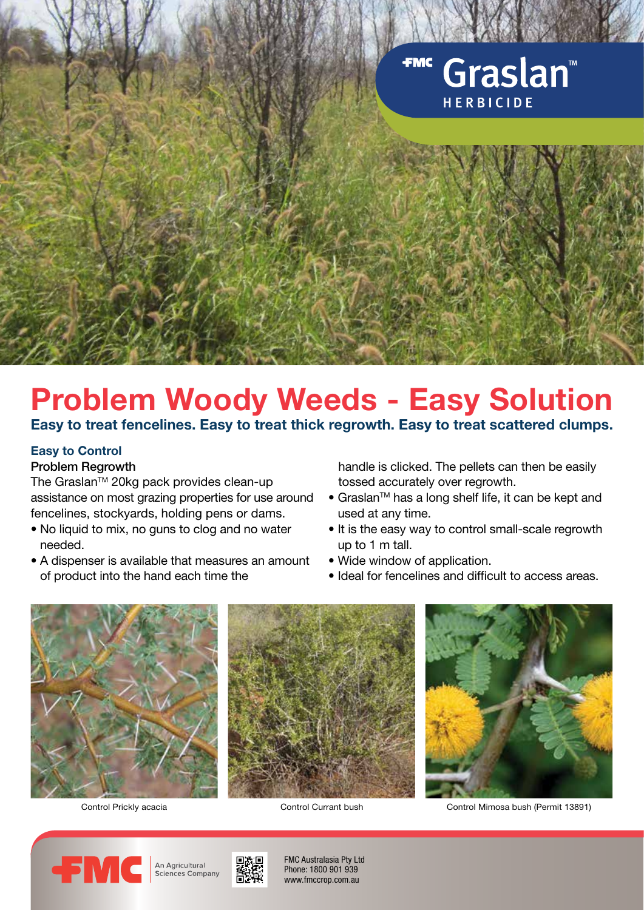

# **Problem Woody Weeds - Easy Solution**

## **Easy to treat fencelines. Easy to treat thick regrowth. Easy to treat scattered clumps.**

# **Easy to Control**

## Problem Regrowth

The Graslan™ 20kg pack provides clean-up assistance on most grazing properties for use around fencelines, stockyards, holding pens or dams.

- No liquid to mix, no guns to clog and no water needed.
- A dispenser is available that measures an amount of product into the hand each time the

 handle is clicked. The pellets can then be easily tossed accurately over regrowth.

- Graslan™ has a long shelf life, it can be kept and used at any time.
- It is the easy way to control small-scale regrowth up to 1 m tall.
- Wide window of application.
- Ideal for fencelines and difficult to access areas.



Control Prickly acacia Control Currant bush Control Mimosa bush (Permit 13891)







FMC Australasia Pty Ltd Phone: 1800 901 939 www.fmccrop.com.au